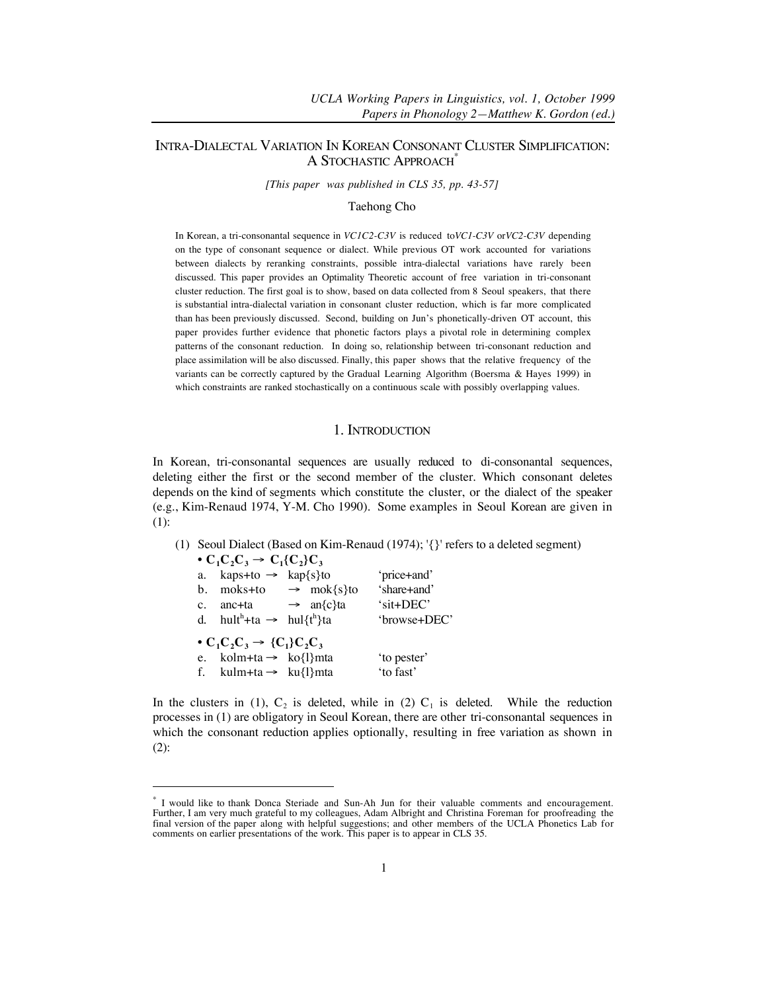# INTRA-DIALECTAL VARIATION IN KOREAN CONSONANT CLUSTER SIMPLIFICATION: A STOCHASTIC APPROACH<sup>\*</sup>

*[This paper was published in CLS 35, pp. 43-57]*

Taehong Cho

In Korean, a tri-consonantal sequence in *VC1C2-C3V* is reduced to*VC1-C3V* or*VC2-C3V* depending on the type of consonant sequence or dialect. While previous OT work accounted for variations between dialects by reranking constraints, possible intra-dialectal variations have rarely been discussed. This paper provides an Optimality Theoretic account of free variation in tri-consonant cluster reduction. The first goal is to show, based on data collected from 8 Seoul speakers, that there is substantial intra-dialectal variation in consonant cluster reduction, which is far more complicated than has been previously discussed. Second, building on Jun's phonetically-driven OT account, this paper provides further evidence that phonetic factors plays a pivotal role in determining complex patterns of the consonant reduction. In doing so, relationship between tri-consonant reduction and place assimilation will be also discussed. Finally, this paper shows that the relative frequency of the variants can be correctly captured by the Gradual Learning Algorithm (Boersma & Hayes 1999) in which constraints are ranked stochastically on a continuous scale with possibly overlapping values.

# 1. INTRODUCTION

In Korean, tri-consonantal sequences are usually reduced to di-consonantal sequences, deleting either the first or the second member of the cluster. Which consonant deletes depends on the kind of segments which constitute the cluster, or the dialect of the speaker (e.g., Kim-Renaud 1974, Y-M. Cho 1990). Some examples in Seoul Korean are given in (1):

(1) Seoul Dialect (Based on Kim-Renaud (1974); '{}' refers to a deleted segment)  $\alpha$   $\alpha$ <sup>2</sup> $\alpha$ 

| $\bullet$ U <sub>1</sub> U <sub>2</sub> U <sub>3</sub> $\to$ U <sub>11</sub> U <sub>2</sub> }U <sub>3</sub> |                                   |              |
|-------------------------------------------------------------------------------------------------------------|-----------------------------------|--------------|
| a. kaps+to $\rightarrow$ kap{s}to                                                                           |                                   | 'price+and'  |
|                                                                                                             | b. moks+to $\rightarrow$ mok{s}to | 'share+and'  |
| c. anc+ta $\rightarrow$ an $\{c\}$ ta                                                                       |                                   | 'sit+DEC'    |
| d. hult <sup>h</sup> +ta $\rightarrow$ hul{t <sup>h</sup> }ta                                               |                                   | 'browse+DEC' |
| $\bullet C_1C_2C_3 \rightarrow \{C_1\}C_2C_3$                                                               |                                   |              |
| e. kolm+ta $\rightarrow$ ko{l}mta                                                                           |                                   | 'to pester'  |
| f. kulm+ta $\rightarrow$ ku{l}mta                                                                           |                                   | 'to fast'    |
|                                                                                                             |                                   |              |

 $\overline{a}$ 

In the clusters in (1),  $C_2$  is deleted, while in (2)  $C_1$  is deleted. While the reduction processes in (1) are obligatory in Seoul Korean, there are other tri-consonantal sequences in which the consonant reduction applies optionally, resulting in free variation as shown in (2):

I would like to thank Donca Steriade and Sun-Ah Jun for their valuable comments and encouragement. Further, I am very much grateful to my colleagues, Adam Albright and Christina Foreman for proofreading the final version of the paper along with helpful suggestions; and other members of the UCLA Phonetics Lab for comments on earlier presentations of the work. This paper is to appear in CLS 35.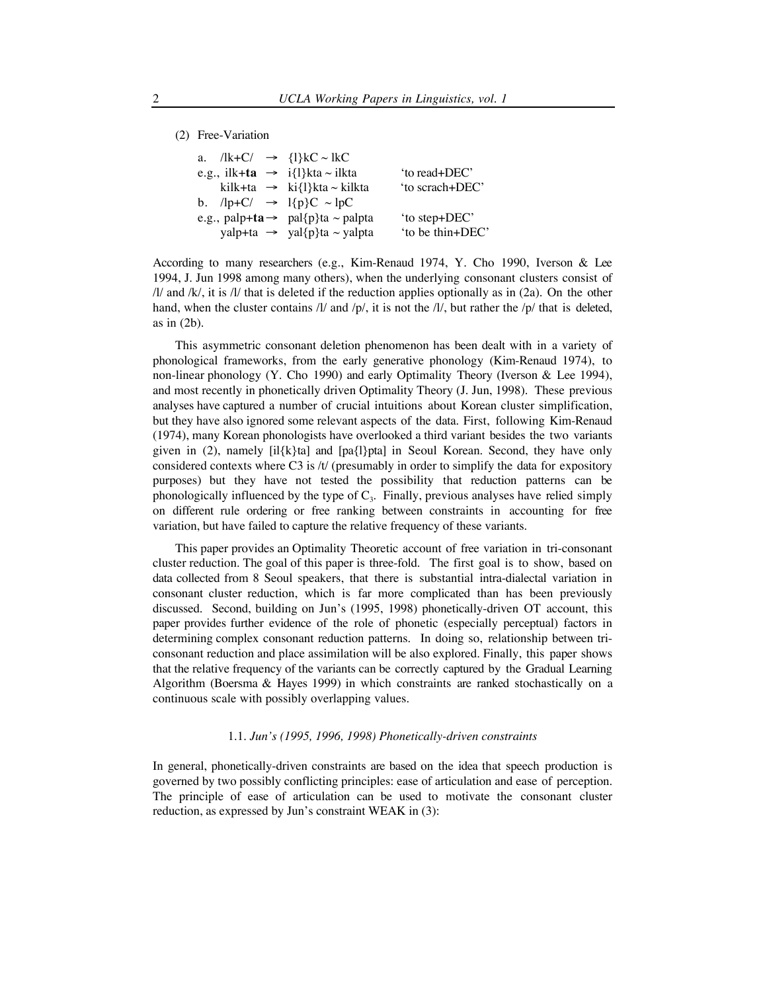(2) Free-Variation

|  | a. $/lk+C/\rightarrow \{1\}kC \sim lkC$                                        |                  |
|--|--------------------------------------------------------------------------------|------------------|
|  | e.g., ilk+ta $\rightarrow$ i{l}kta ~ ilkta                                     | 'to read+DEC'    |
|  | kilk+ta $\rightarrow$ ki{l}kta ~ kilkta                                        | 'to scrach+DEC'  |
|  | b. $\text{lp}+\text{C}/\rightarrow \text{lp}+\text{C} \sim \text{lp}+\text{C}$ |                  |
|  | e.g., palp+ta $\rightarrow$ pal{p}ta ~ palpta                                  | 'to step+DEC'    |
|  | yalp+ta $\rightarrow$ yal{p}ta ~ yalpta                                        | 'to be thin+DEC' |

According to many researchers (e.g., Kim-Renaud 1974, Y. Cho 1990, Iverson & Lee 1994, J. Jun 1998 among many others), when the underlying consonant clusters consist of  $\frac{1}{a}$  and  $\frac{1}{b}$ , it is  $\frac{1}{b}$  that is deleted if the reduction applies optionally as in (2a). On the other hand, when the cluster contains /l/ and /p/, it is not the /l/, but rather the /p/ that is deleted, as in (2b).

This asymmetric consonant deletion phenomenon has been dealt with in a variety of phonological frameworks, from the early generative phonology (Kim-Renaud 1974), to non-linear phonology (Y. Cho 1990) and early Optimality Theory (Iverson & Lee 1994), and most recently in phonetically driven Optimality Theory (J. Jun, 1998). These previous analyses have captured a number of crucial intuitions about Korean cluster simplification, but they have also ignored some relevant aspects of the data. First, following Kim-Renaud (1974), many Korean phonologists have overlooked a third variant besides the two variants given in (2), namely  $[i]{k}a]$  and  $[pa{]}\phi a]$  in Seoul Korean. Second, they have only considered contexts where C3 is /t/ (presumably in order to simplify the data for expository purposes) but they have not tested the possibility that reduction patterns can be phonologically influenced by the type of  $C_3$ . Finally, previous analyses have relied simply on different rule ordering or free ranking between constraints in accounting for free variation, but have failed to capture the relative frequency of these variants.

This paper provides an Optimality Theoretic account of free variation in tri-consonant cluster reduction. The goal of this paper is three-fold. The first goal is to show, based on data collected from 8 Seoul speakers, that there is substantial intra-dialectal variation in consonant cluster reduction, which is far more complicated than has been previously discussed. Second, building on Jun's (1995, 1998) phonetically-driven OT account, this paper provides further evidence of the role of phonetic (especially perceptual) factors in determining complex consonant reduction patterns. In doing so, relationship between triconsonant reduction and place assimilation will be also explored. Finally, this paper shows that the relative frequency of the variants can be correctly captured by the Gradual Learning Algorithm (Boersma & Hayes 1999) in which constraints are ranked stochastically on a continuous scale with possibly overlapping values.

## 1.1. *Jun's (1995, 1996, 1998) Phonetically-driven constraints*

In general, phonetically-driven constraints are based on the idea that speech production is governed by two possibly conflicting principles: ease of articulation and ease of perception. The principle of ease of articulation can be used to motivate the consonant cluster reduction, as expressed by Jun's constraint WEAK in (3):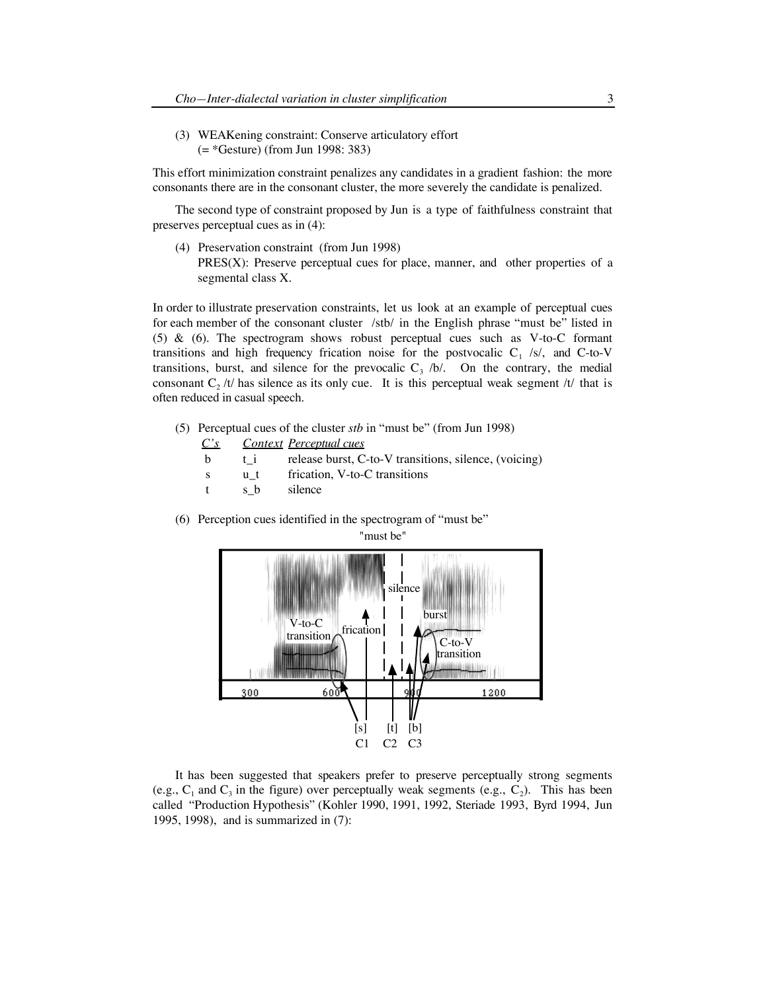(3) WEAKening constraint: Conserve articulatory effort (= \*Gesture) (from Jun 1998: 383)

This effort minimization constraint penalizes any candidates in a gradient fashion: the more consonants there are in the consonant cluster, the more severely the candidate is penalized.

The second type of constraint proposed by Jun is a type of faithfulness constraint that preserves perceptual cues as in (4):

(4) Preservation constraint (from Jun 1998)

PRES(X): Preserve perceptual cues for place, manner, and other properties of a segmental class X.

In order to illustrate preservation constraints, let us look at an example of perceptual cues for each member of the consonant cluster /stb/ in the English phrase "must be" listed in (5) & (6). The spectrogram shows robust perceptual cues such as V-to-C formant transitions and high frequency frication noise for the postvocalic  $C_1$  /s/, and C-to-V transitions, burst, and silence for the prevocalic  $C_3$  /b/. On the contrary, the medial consonant  $C_2$  /t/ has silence as its only cue. It is this perceptual weak segment /t/ that is often reduced in casual speech.

- (5) Perceptual cues of the cluster *stb* in "must be" (from Jun 1998)
	- *C's Context Perceptual cues*
	- **b** t i release burst, C-to-V transitions, silence, (voicing)
	- s u\_t frication, V-to-C transitions
	- t s b silence
- (6) Perception cues identified in the spectrogram of "must be"



It has been suggested that speakers prefer to preserve perceptually strong segments (e.g.,  $C_1$  and  $C_3$  in the figure) over perceptually weak segments (e.g.,  $C_2$ ). This has been called "Production Hypothesis" (Kohler 1990, 1991, 1992, Steriade 1993, Byrd 1994, Jun 1995, 1998), and is summarized in (7):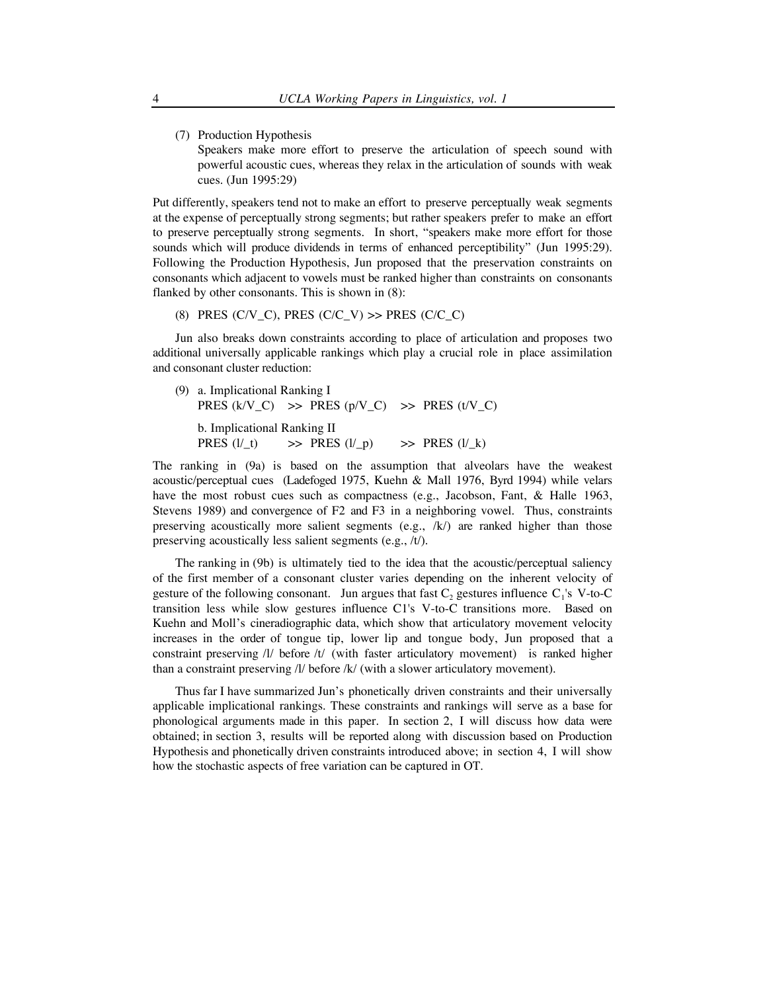(7) Production Hypothesis Speakers make more effort to preserve the articulation of speech sound with powerful acoustic cues, whereas they relax in the articulation of sounds with weak cues. (Jun 1995:29)

Put differently, speakers tend not to make an effort to preserve perceptually weak segments at the expense of perceptually strong segments; but rather speakers prefer to make an effort to preserve perceptually strong segments. In short, "speakers make more effort for those sounds which will produce dividends in terms of enhanced perceptibility" (Jun 1995:29). Following the Production Hypothesis, Jun proposed that the preservation constraints on consonants which adjacent to vowels must be ranked higher than constraints on consonants flanked by other consonants. This is shown in (8):

(8) PRES (C/V\_C), PRES (C/C\_V)  $\gg$  PRES (C/C\_C)

Jun also breaks down constraints according to place of articulation and proposes two additional universally applicable rankings which play a crucial role in place assimilation and consonant cluster reduction:

(9) a. Implicational Ranking I PRES  $(k/V_C) \Rightarrow$  PRES  $(p/V_C) \Rightarrow$  PRES  $(t/V_C)$ 

b. Implicational Ranking II PRES (l/\_t)  $\implies$  PRES (l/\_p)  $\implies$  PRES (l/\_k)

The ranking in (9a) is based on the assumption that alveolars have the weakest acoustic/perceptual cues (Ladefoged 1975, Kuehn & Mall 1976, Byrd 1994) while velars have the most robust cues such as compactness (e.g., Jacobson, Fant, & Halle 1963, Stevens 1989) and convergence of F2 and F3 in a neighboring vowel. Thus, constraints preserving acoustically more salient segments (e.g.,  $/k$ ) are ranked higher than those preserving acoustically less salient segments (e.g., /t/).

The ranking in (9b) is ultimately tied to the idea that the acoustic/perceptual saliency of the first member of a consonant cluster varies depending on the inherent velocity of gesture of the following consonant. Jun argues that fast  $C_2$  gestures influence  $C_1$ 's V-to-C transition less while slow gestures influence C1's V-to-C transitions more. Based on Kuehn and Moll's cineradiographic data, which show that articulatory movement velocity increases in the order of tongue tip, lower lip and tongue body, Jun proposed that a constraint preserving /l/ before /t/ (with faster articulatory movement) is ranked higher than a constraint preserving /l/ before /k/ (with a slower articulatory movement).

Thus far I have summarized Jun's phonetically driven constraints and their universally applicable implicational rankings. These constraints and rankings will serve as a base for phonological arguments made in this paper. In section 2, I will discuss how data were obtained; in section 3, results will be reported along with discussion based on Production Hypothesis and phonetically driven constraints introduced above; in section 4, I will show how the stochastic aspects of free variation can be captured in OT.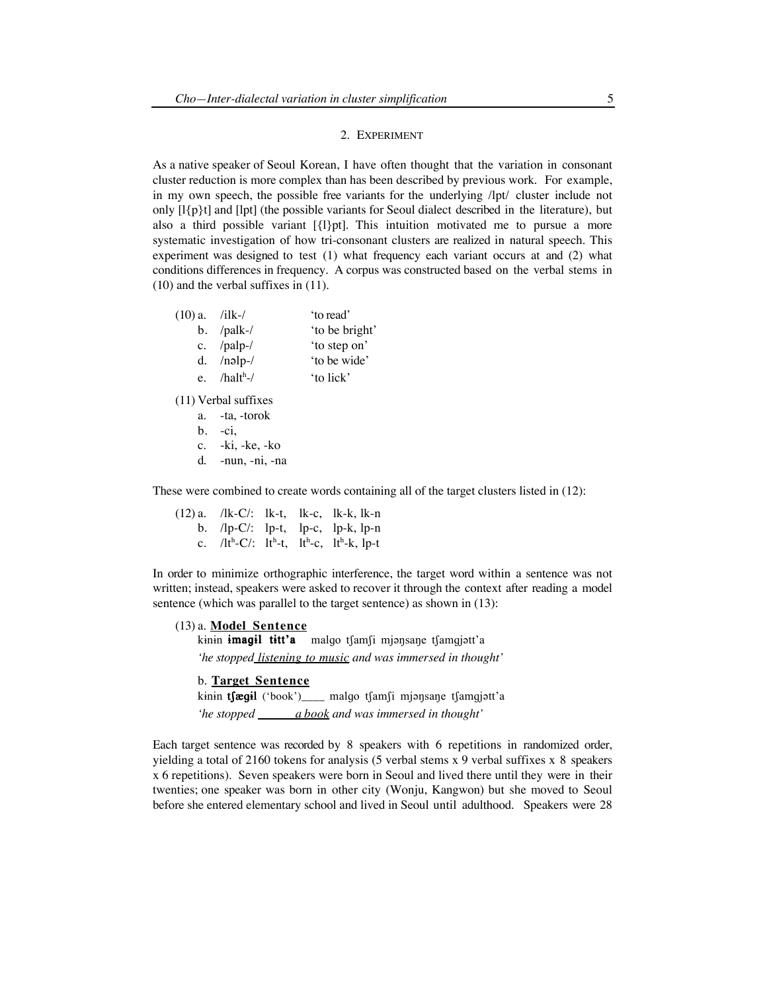### 2. EXPERIMENT

As a native speaker of Seoul Korean, I have often thought that the variation in consonant cluster reduction is more complex than has been described by previous work. For example, in my own speech, the possible free variants for the underlying /lpt/ cluster include not only  $[I\{p\}]$  and  $[I\{p\}]$  (the possible variants for Seoul dialect described in the literature), but also a third possible variant [{l}pt]. This intuition motivated me to pursue a more systematic investigation of how tri-consonant clusters are realized in natural speech. This experiment was designed to test (1) what frequency each variant occurs at and (2) what conditions differences in frequency. A corpus was constructed based on the verbal stems in (10) and the verbal suffixes in (11).

| $(10)$ a. /ilk-/ |                | to read'       |
|------------------|----------------|----------------|
|                  | b. $/palk-$    | 'to be bright' |
|                  | c. $/palp-$    | 'to step on'   |
|                  | d. $/nolp-$    | 'to be wide'   |
|                  | e. $/halth$ -/ | 'to lick'      |
|                  |                |                |

(11) Verbal suffixes

a. -ta, -torok

- $b. -ci,$
- c. -ki, -ke, -ko
- d. -nun, -ni, -na

These were combined to create words containing all of the target clusters listed in (12):

|  |  | (12) a. /lk-C/: lk-t, lk-c, lk-k, lk-n                               |
|--|--|----------------------------------------------------------------------|
|  |  | b. $\mathsf{dp}\text{-}\mathbb{C}/\mathsf{L}$ lp-t, lp-c, lp-k, lp-n |
|  |  | c. $/1t^h$ -C/: $1t^h$ -t, $1t^h$ -c, $1t^h$ -k, $1p$ -t             |

In order to minimize orthographic interference, the target word within a sentence was not written; instead, speakers were asked to recover it through the context after reading a model sentence (which was parallel to the target sentence) as shown in (13):

(13) a. **Model Sentence**

kinin **imagil titt'a** malgo tsamsi mjonsane tsamgjott'a *'he stopped listening to music and was immersed in thought'*

# b. **Target Sentence**

kinin tfægil ('book')\_\_\_\_ malgo tfamfi mjonsane tfamgjott'a *'he stopped a book and was immersed in thought'*

Each target sentence was recorded by 8 speakers with 6 repetitions in randomized order, yielding a total of 2160 tokens for analysis (5 verbal stems x 9 verbal suffixes x 8 speakers x 6 repetitions). Seven speakers were born in Seoul and lived there until they were in their twenties; one speaker was born in other city (Wonju, Kangwon) but she moved to Seoul before she entered elementary school and lived in Seoul until adulthood. Speakers were 28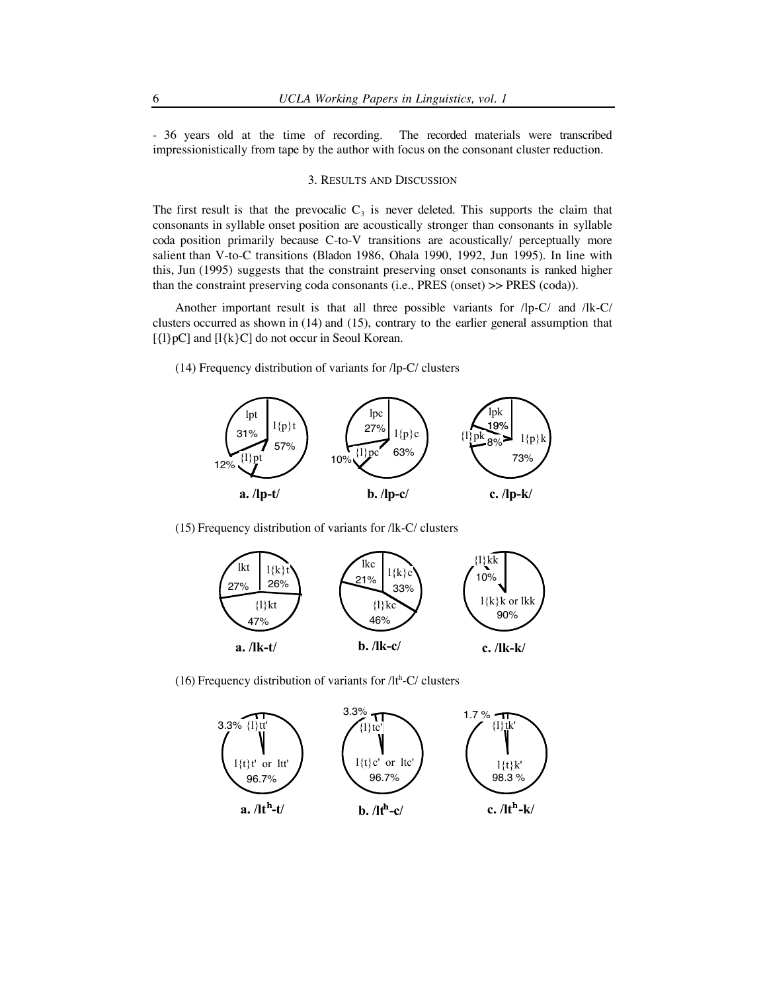- 36 years old at the time of recording. The recorded materials were transcribed impressionistically from tape by the author with focus on the consonant cluster reduction.

# 3. RESULTS AND DISCUSSION

The first result is that the prevocalic  $C_3$  is never deleted. This supports the claim that consonants in syllable onset position are acoustically stronger than consonants in syllable coda position primarily because C-to-V transitions are acoustically/ perceptually more salient than V-to-C transitions (Bladon 1986, Ohala 1990, 1992, Jun 1995). In line with this, Jun (1995) suggests that the constraint preserving onset consonants is ranked higher than the constraint preserving coda consonants (i.e., PRES (onset) >> PRES (coda)).

Another important result is that all three possible variants for /lp-C/ and /lk-C/ clusters occurred as shown in (14) and (15), contrary to the earlier general assumption that  $[\{1\}pC]$  and  $[I\{k\}C]$  do not occur in Seoul Korean.

(14) Frequency distribution of variants for /lp-C/ clusters



(15) Frequency distribution of variants for /lk-C/ clusters



(16) Frequency distribution of variants for  $/lt<sup>h</sup>-C$  clusters

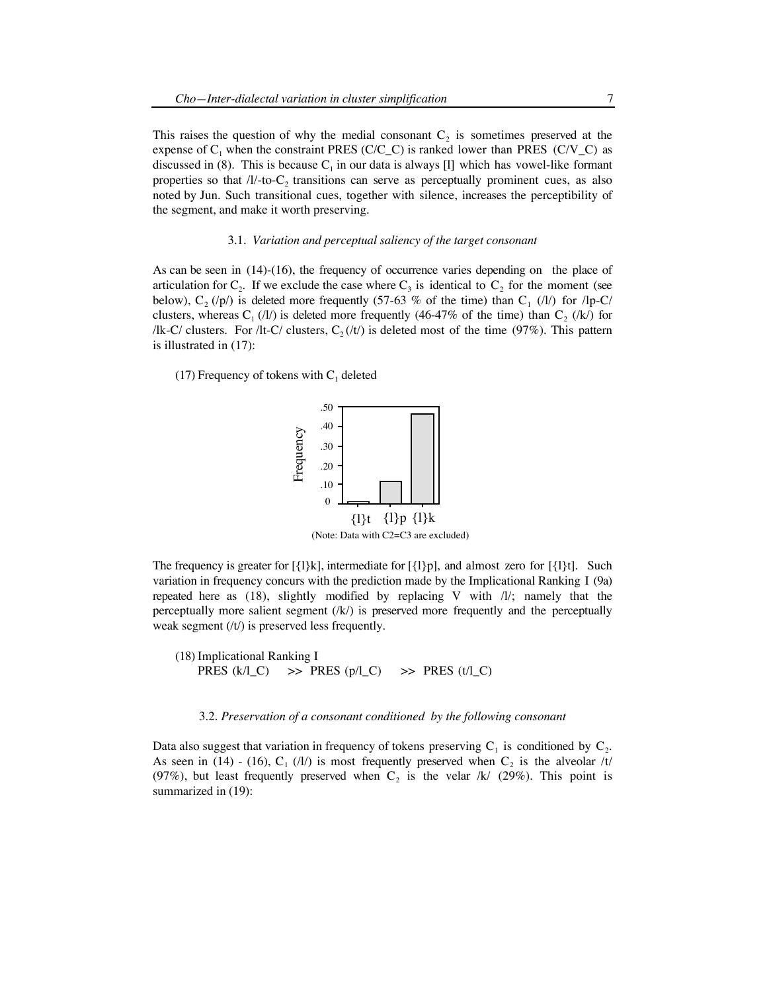This raises the question of why the medial consonant  $C_2$  is sometimes preserved at the expense of  $C_1$  when the constraint PRES (C/C\_C) is ranked lower than PRES (C/V\_C) as discussed in (8). This is because  $C_1$  in our data is always [1] which has vowel-like formant properties so that  $/I$ -to-C<sub>2</sub> transitions can serve as perceptually prominent cues, as also noted by Jun. Such transitional cues, together with silence, increases the perceptibility of the segment, and make it worth preserving.

## 3.1. *Variation and perceptual saliency of the target consonant*

As can be seen in (14)-(16), the frequency of occurrence varies depending on the place of articulation for  $C_2$ . If we exclude the case where  $C_3$  is identical to  $C_2$  for the moment (see below),  $C_2$  (/p/) is deleted more frequently (57-63 % of the time) than  $C_1$  (/l/) for /lp-C/ clusters, whereas  $C_1$  (/l/) is deleted more frequently (46-47% of the time) than  $C_2$  (/k/) for /lk-C/ clusters. For /lt-C/ clusters,  $C_2(t)$  is deleted most of the time (97%). This pattern is illustrated in (17):

(17) Frequency of tokens with  $C_1$  deleted



The frequency is greater for  $[\{\mathrm{l}\}\mathrm{k}]$ , intermediate for  $[\{\mathrm{l}\}\mathrm{p}]$ , and almost zero for  $[\{\mathrm{l}\}\mathrm{t}]$ . Such variation in frequency concurs with the prediction made by the Implicational Ranking I (9a) repeated here as (18), slightly modified by replacing V with /l/; namely that the perceptually more salient segment  $(k)$  is preserved more frequently and the perceptually weak segment (/t/) is preserved less frequently.

(18) Implicational Ranking I PRES  $(k/l_C) \Rightarrow$  PRES  $(p/l_C) \Rightarrow$  PRES  $(t/l_C)$ 

#### 3.2. *Preservation of a consonant conditioned by the following consonant*

Data also suggest that variation in frequency of tokens preserving  $C_1$  is conditioned by  $C_2$ . As seen in (14) - (16),  $C_1$  (/l/) is most frequently preserved when  $C_2$  is the alveolar /t/ (97%), but least frequently preserved when  $C_2$  is the velar /k/ (29%). This point is summarized in (19):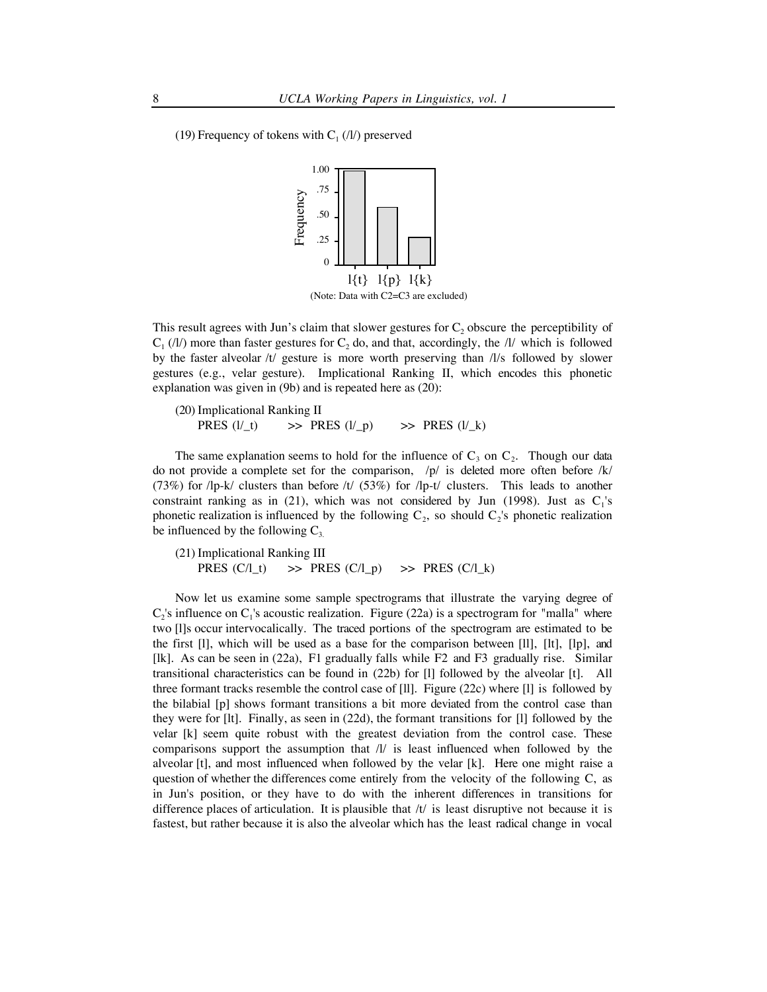



This result agrees with Jun's claim that slower gestures for  $C_2$  obscure the perceptibility of  $C_1$  (/l/) more than faster gestures for  $C_2$  do, and that, accordingly, the /l/ which is followed by the faster alveolar /t/ gesture is more worth preserving than /l/s followed by slower gestures (e.g., velar gesture). Implicational Ranking II, which encodes this phonetic explanation was given in (9b) and is repeated here as (20):

(20) Implicational Ranking II PRES  $(l/_t)$   $\implies$  PRES  $(l/_p)$   $\implies$  PRES  $(l/_k)$ 

The same explanation seems to hold for the influence of  $C_3$  on  $C_2$ . Though our data do not provide a complete set for the comparison,  $/p/$  is deleted more often before  $/k/$  $(73%)$  for  $\vert$ lp-k/ clusters than before  $\vert t \vert$  (53%) for  $\vert$ lp-t/ clusters. This leads to another constraint ranking as in (21), which was not considered by Jun (1998). Just as  $C_1$ 's phonetic realization is influenced by the following  $C_2$ , so should  $C_2$ 's phonetic realization be influenced by the following  $C_3$ 

(21) Implicational Ranking III PRES  $(C/\lfloor t \rfloor \Rightarrow$  PRES  $(C/\lfloor p \rfloor \Rightarrow$  PRES  $(C/\lfloor k \rfloor$ 

Now let us examine some sample spectrograms that illustrate the varying degree of  $C_2$ 's influence on  $C_1$ 's acoustic realization. Figure (22a) is a spectrogram for "malla" where two [l]s occur intervocalically. The traced portions of the spectrogram are estimated to be the first [l], which will be used as a base for the comparison between [ll], [lt], [lp], and [lk]. As can be seen in (22a), F1 gradually falls while F2 and F3 gradually rise. Similar transitional characteristics can be found in (22b) for [l] followed by the alveolar [t]. All three formant tracks resemble the control case of [ll]. Figure (22c) where [l] is followed by the bilabial [p] shows formant transitions a bit more deviated from the control case than they were for [lt]. Finally, as seen in (22d), the formant transitions for [l] followed by the velar [k] seem quite robust with the greatest deviation from the control case. These comparisons support the assumption that  $/I/$  is least influenced when followed by the alveolar [t], and most influenced when followed by the velar [k]. Here one might raise a question of whether the differences come entirely from the velocity of the following C, as in Jun's position, or they have to do with the inherent differences in transitions for difference places of articulation. It is plausible that  $/t/$  is least disruptive not because it is fastest, but rather because it is also the alveolar which has the least radical change in vocal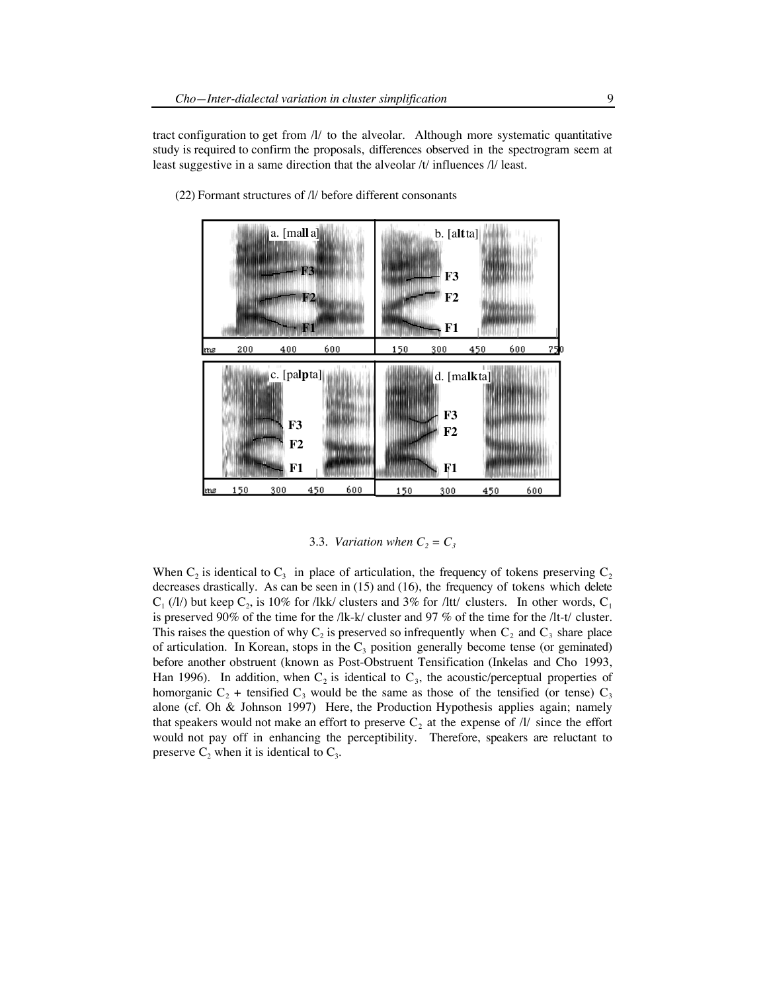tract configuration to get from  $\Lambda$  to the alveolar. Although more systematic quantitative study is required to confirm the proposals, differences observed in the spectrogram seem at least suggestive in a same direction that the alveolar /t/ influences /l/ least.



(22) Formant structures of /l/ before different consonants

3.3. *Variation when*  $C_2 = C_3$ 

When  $C_2$  is identical to  $C_3$  in place of articulation, the frequency of tokens preserving  $C_2$ decreases drastically. As can be seen in (15) and (16), the frequency of tokens which delete  $C_1$  (/l/) but keep  $C_2$ , is 10% for /lkk/ clusters and 3% for /ltt/ clusters. In other words,  $C_1$ is preserved 90% of the time for the /lk-k/ cluster and 97 % of the time for the /lt-t/ cluster. This raises the question of why  $C_2$  is preserved so infrequently when  $C_2$  and  $C_3$  share place of articulation. In Korean, stops in the  $C_3$  position generally become tense (or geminated) before another obstruent (known as Post-Obstruent Tensification (Inkelas and Cho 1993, Han 1996). In addition, when  $C_2$  is identical to  $C_3$ , the acoustic/perceptual properties of homorganic  $C_2$  + tensified  $C_3$  would be the same as those of the tensified (or tense)  $C_3$ alone (cf. Oh & Johnson 1997) Here, the Production Hypothesis applies again; namely that speakers would not make an effort to preserve  $C_2$  at the expense of  $\Lambda$  since the effort would not pay off in enhancing the perceptibility. Therefore, speakers are reluctant to preserve  $C_2$  when it is identical to  $C_3$ .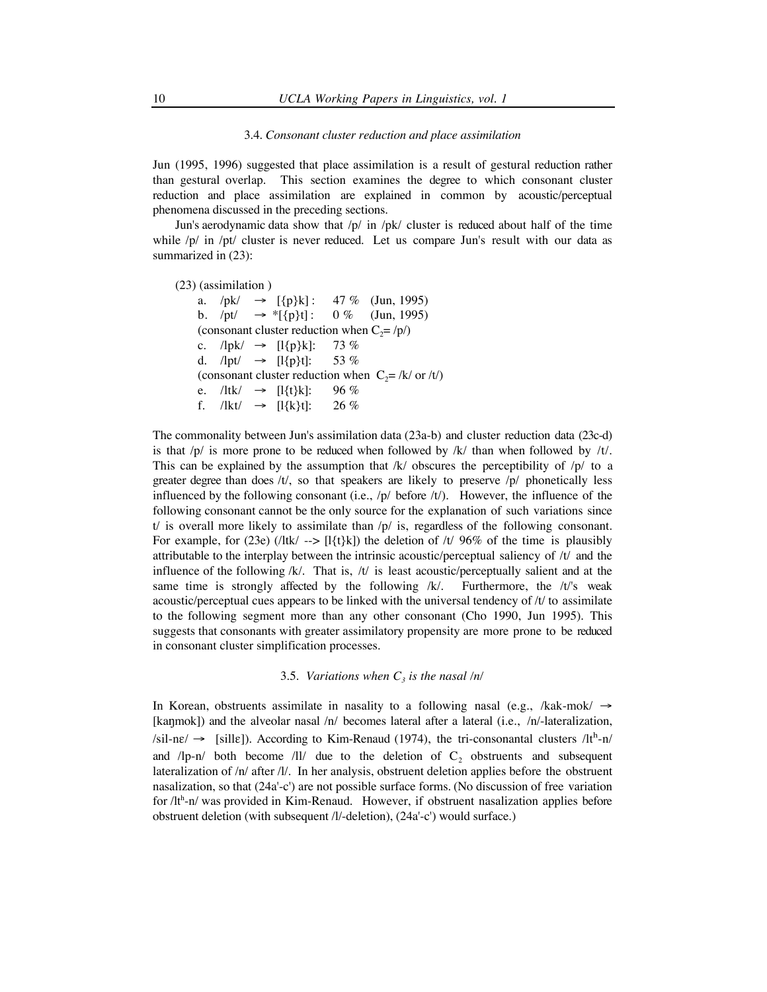#### 3.4. *Consonant cluster reduction and place assimilation*

Jun (1995, 1996) suggested that place assimilation is a result of gestural reduction rather than gestural overlap. This section examines the degree to which consonant cluster reduction and place assimilation are explained in common by acoustic/perceptual phenomena discussed in the preceding sections.

Jun's aerodynamic data show that /p/ in /pk/ cluster is reduced about half of the time while  $/p/$  in  $\pi/$ pt/ cluster is never reduced. Let us compare Jun's result with our data as summarized in (23):

(23) (assimilation )

a.  $/pk/ \rightarrow [\{p\}k]$ : 47 % (Jun, 1995) b.  $/pt' \rightarrow *[\{p\}t] : 0\%$  (Jun, 1995) (consonant cluster reduction when  $C_2 = /p/$ ) c.  $/$ lpk $/$  → [l{p}k]: 73 % d. */lpt/* → [*l*{*p*}*t*]: 53 % (consonant cluster reduction when  $C_2 = /k / \text{ or } /t/$ ) e. /ltk/ → [l{t}k]: 96 % f.  $/$ lkt $/ \rightarrow$  [l{k}t]: 26 %

The commonality between Jun's assimilation data (23a-b) and cluster reduction data (23c-d) is that  $/p/$  is more prone to be reduced when followed by /k/ than when followed by /t/. This can be explained by the assumption that  $/k/$  obscures the perceptibility of  $/p/$  to a greater degree than does  $/t/$ , so that speakers are likely to preserve  $/p/$  phonetically less influenced by the following consonant (i.e.,  $/p/$  before  $/t/$ ). However, the influence of the following consonant cannot be the only source for the explanation of such variations since t/ is overall more likely to assimilate than  $/p/$  is, regardless of the following consonant. For example, for (23e) ( $\frac{1}{k}$  -->  $\frac{1}{k}$  ( $\frac{1}{k}$ ) the deletion of  $\frac{1}{\sqrt{2}}$  96% of the time is plausibly attributable to the interplay between the intrinsic acoustic/perceptual saliency of /t/ and the influence of the following  $/k$ . That is,  $/t$  is least acoustic/perceptually salient and at the same time is strongly affected by the following  $/k$ . Furthermore, the  $/t$ 's weak acoustic/perceptual cues appears to be linked with the universal tendency of /t/ to assimilate to the following segment more than any other consonant (Cho 1990, Jun 1995). This suggests that consonants with greater assimilatory propensity are more prone to be reduced in consonant cluster simplification processes.

# 3.5. *Variations when*  $C_3$  *is the nasal /n/*

In Korean, obstruents assimilate in nasality to a following nasal (e.g., /kak-mok/  $\rightarrow$ [kanmok]) and the alveolar nasal  $/n/$  becomes lateral after a lateral (i.e.,  $/n/$ -lateralization,  $\ell$ sil-n $\varepsilon$ /  $\rightarrow$  [sill $\varepsilon$ ]). According to Kim-Renaud (1974), the tri-consonantal clusters /lt<sup>h</sup>-n/ and  $/lp-n/$  both become  $/ll/$  due to the deletion of  $C<sub>2</sub>$  obstruents and subsequent lateralization of /n/ after /l/. In her analysis, obstruent deletion applies before the obstruent nasalization, so that (24a'-c') are not possible surface forms. (No discussion of free variation for /lt<sup>h</sup>-n/ was provided in Kim-Renaud. However, if obstruent nasalization applies before obstruent deletion (with subsequent /l/-deletion), (24a'-c') would surface.)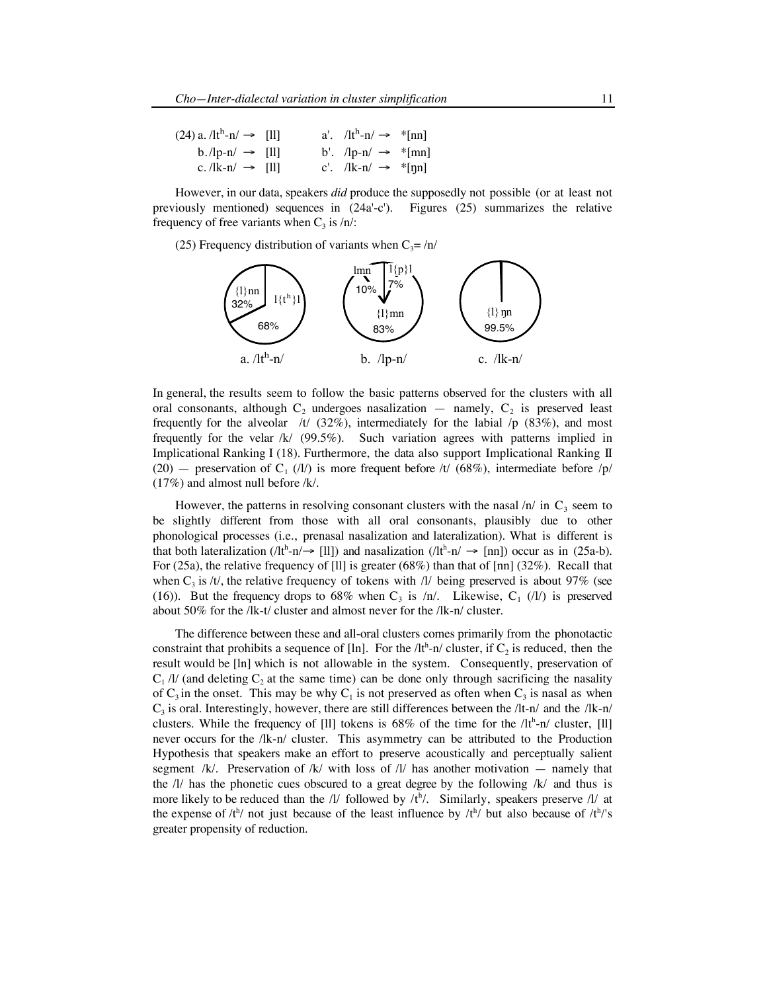| $(24)$ a. $/lth$ -n $/ \rightarrow$ [11] |  | a'. $/lth - n/ \rightarrow$ *[nn]  |  |
|------------------------------------------|--|------------------------------------|--|
| $b$ ./lp-n/ $\rightarrow$ [ll]           |  | b'. $\ln n \rightarrow \text{m}$   |  |
| c. $/ k-n  \rightarrow  1 $              |  | c'. $/$ lk-n $/ \rightarrow$ *[nn] |  |

However, in our data, speakers *did* produce the supposedly not possible (or at least not previously mentioned) sequences in  $(24a'-c')$ . Figures  $(25)$  summarizes the relative frequency of free variants when  $C_3$  is /n/:

(25) Frequency distribution of variants when  $C_3 = /n/$ 



In general, the results seem to follow the basic patterns observed for the clusters with all oral consonants, although  $C_2$  undergoes nasalization — namely,  $C_2$  is preserved least frequently for the alveolar /t/  $(32\%)$ , intermediately for the labial /p  $(83\%)$ , and most frequently for the velar /k/ (99.5%). Such variation agrees with patterns implied in Implicational Ranking I (18). Furthermore, the data also support Implicational Ranking II (20) — preservation of C<sub>1</sub> (/l/) is more frequent before /t/ (68%), intermediate before /p/ (17%) and almost null before /k/.

However, the patterns in resolving consonant clusters with the nasal  $/n/$  in  $C_3$  seem to be slightly different from those with all oral consonants, plausibly due to other phonological processes (i.e., prenasal nasalization and lateralization). What is different is that both lateralization ( $/lt^h-n \rightarrow [ll]$ ) and nasalization ( $/lt^h-n \rightarrow [nn]$ ) occur as in (25a-b). For (25a), the relative frequency of [ll] is greater (68%) than that of [nn] (32%). Recall that when  $C_3$  is /t/, the relative frequency of tokens with /l/ being preserved is about 97% (see (16)). But the frequency drops to 68% when  $C_3$  is /n/. Likewise,  $C_1$  (/l/) is preserved about 50% for the /lk-t/ cluster and almost never for the /lk-n/ cluster.

The difference between these and all-oral clusters comes primarily from the phonotactic constraint that prohibits a sequence of [ln]. For the  $/lt<sup>h</sup>$ -n/ cluster, if  $C_2$  is reduced, then the result would be [ln] which is not allowable in the system. Consequently, preservation of  $C_1$  /l/ (and deleting  $C_2$  at the same time) can be done only through sacrificing the nasality of  $C_3$  in the onset. This may be why  $C_1$  is not preserved as often when  $C_3$  is nasal as when  $C_3$  is oral. Interestingly, however, there are still differences between the /lt-n/ and the /lk-n/ clusters. While the frequency of [11] tokens is  $68\%$  of the time for the  $/lt<sup>h</sup>$ -n/ cluster, [11] never occurs for the /lk-n/ cluster. This asymmetry can be attributed to the Production Hypothesis that speakers make an effort to preserve acoustically and perceptually salient segment /k/. Preservation of /k/ with loss of /l/ has another motivation  $-$  namely that the  $\Lambda$  has the phonetic cues obscured to a great degree by the following  $\Lambda$  and thus is more likely to be reduced than the  $/$ *l* followed by  $/$ <sup>h</sup> $/$ . Similarly, speakers preserve  $/$ l/ at the expense of  $/t^{h}$  not just because of the least influence by  $/t^{h}$  but also because of  $/t^{h}$ 's greater propensity of reduction.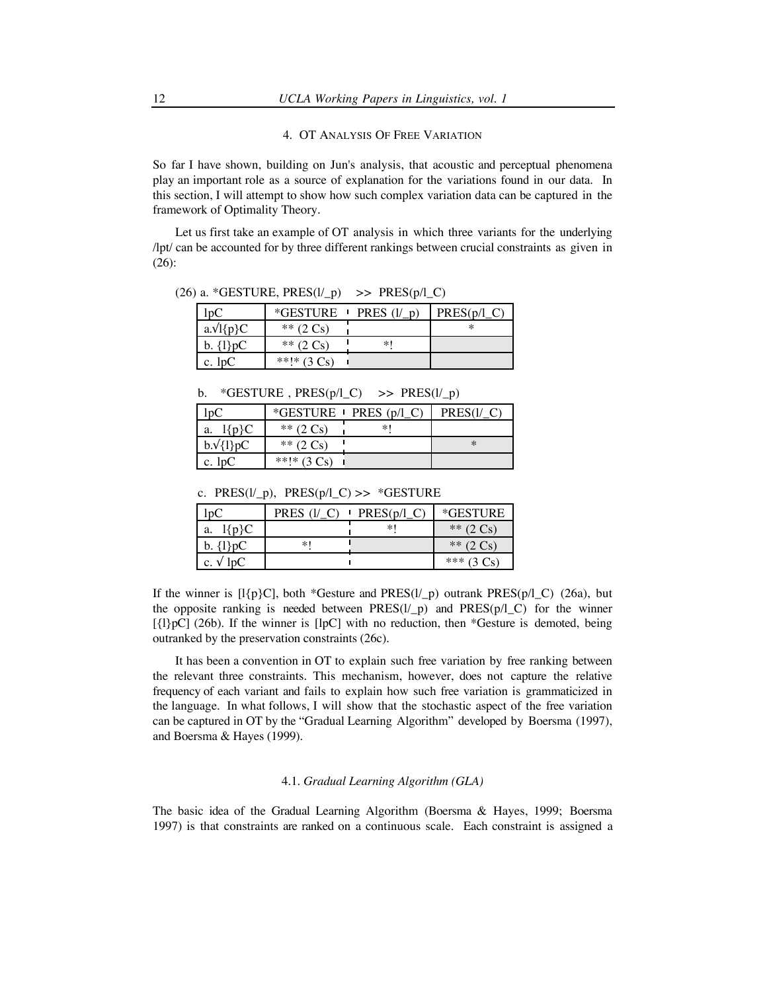#### 4. OT ANALYSIS OF FREE VARIATION

So far I have shown, building on Jun's analysis, that acoustic and perceptual phenomena play an important role as a source of explanation for the variations found in our data. In this section, I will attempt to show how such complex variation data can be captured in the framework of Optimality Theory.

Let us first take an example of OT analysis in which three variants for the underlying /lpt/ can be accounted for by three different rankings between crucial constraints as given in (26):

(26) a. \*GESTURE,  $PRES(I\_p)$  >>  $PRES(p/I\_C)$ 

| $_{1D}$           | <i><b>*GESTURE</b></i> PRES | $\mathbf{D}^{\prime}$ | PRES(p/l) |
|-------------------|-----------------------------|-----------------------|-----------|
| $a.\sqrt{l}$ {p}C | ** $(2 \text{ Cs})$         |                       |           |
| b. $\{1\}pC$      | ** $(2 \text{ Cs})$         | *1                    |           |
| c. lpC            | **!* $(3 \text{ Cs})$       |                       |           |

b. \*GESTURE,  $PRES(p/l_C)$  >>  $PRES(l/p)$ 

|                    |                     | *GESTURE $\blacksquare$ PRES (p/l_C) | PRE:   |
|--------------------|---------------------|--------------------------------------|--------|
| $\{P\}C$<br>. a. ' | ** $(2 \text{ Cs})$ | *1                                   |        |
| $b.\sqrt{1}pC$     | ** $(2 Cs)$         |                                      | $\ast$ |
| c. $lpC$           | **!* $(3 Cs)$       |                                      |        |

c. PRES( $l/p$ ), PRES( $p/l_C$ ) >> \*GESTURE

|               | <b>PRES</b> | PRES(p) | *GESTURE               |
|---------------|-------------|---------|------------------------|
| Մո}Ր<br>a.    |             | *1      | ** $(2 \text{ Cs})$    |
| $b. \{1\}pC$  | *1          |         | ** $(2 \text{ Cs})$    |
| c. $\sqrt{ }$ |             |         | ***<br>$(3 \text{Cs})$ |

If the winner is  $[I{p}C]$ , both \*Gesture and PRES $(I_{p})$  outrank PRES $(p/I_{p})$  (26a), but the opposite ranking is needed between  $PRES(I_{p})$  and  $PRES(p/I_{p})$  for the winner  $[\{\mathrm{l}\}pC]$  (26b). If the winner is  $[\mathrm{l}pC]$  with no reduction, then \*Gesture is demoted, being outranked by the preservation constraints (26c).

It has been a convention in OT to explain such free variation by free ranking between the relevant three constraints. This mechanism, however, does not capture the relative frequency of each variant and fails to explain how such free variation is grammaticized in the language. In what follows, I will show that the stochastic aspect of the free variation can be captured in OT by the "Gradual Learning Algorithm" developed by Boersma (1997), and Boersma & Hayes (1999).

## 4.1. *Gradual Learning Algorithm (GLA)*

The basic idea of the Gradual Learning Algorithm (Boersma & Hayes, 1999; Boersma 1997) is that constraints are ranked on a continuous scale. Each constraint is assigned a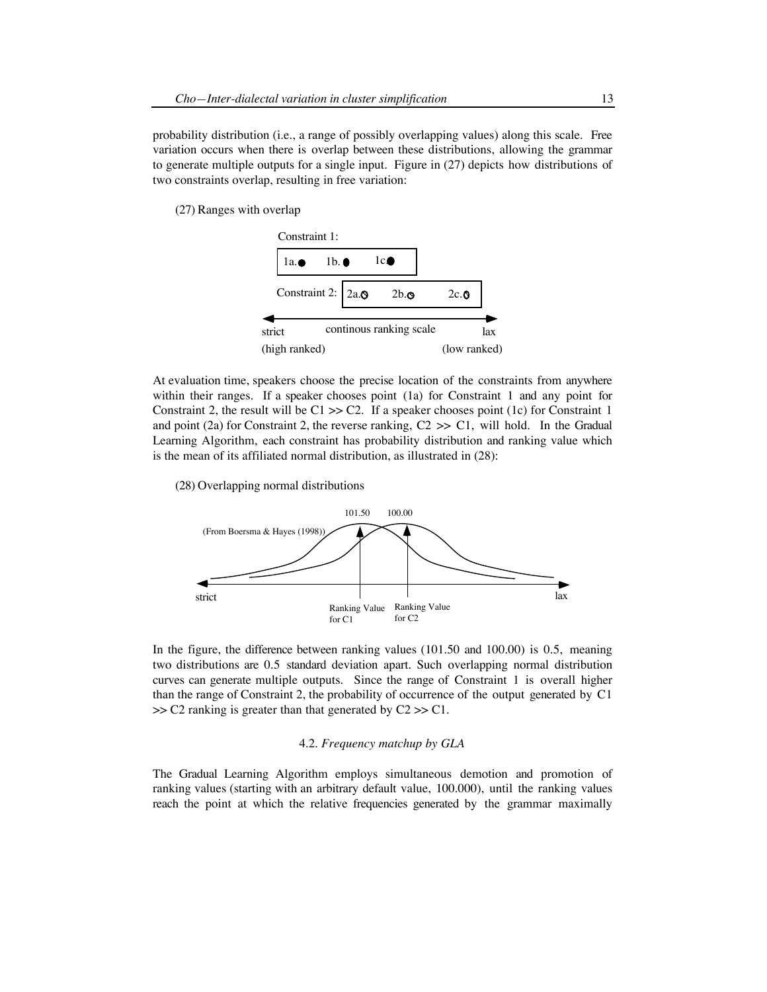probability distribution (i.e., a range of possibly overlapping values) along this scale. Free variation occurs when there is overlap between these distributions, allowing the grammar to generate multiple outputs for a single input. Figure in (27) depicts how distributions of two constraints overlap, resulting in free variation:

(27) Ranges with overlap



At evaluation time, speakers choose the precise location of the constraints from anywhere within their ranges. If a speaker chooses point (1a) for Constraint 1 and any point for Constraint 2, the result will be  $C1 \gg C2$ . If a speaker chooses point (1c) for Constraint 1 and point (2a) for Constraint 2, the reverse ranking,  $C2 \gg C1$ , will hold. In the Gradual Learning Algorithm, each constraint has probability distribution and ranking value which is the mean of its affiliated normal distribution, as illustrated in (28):

(28) Overlapping normal distributions



In the figure, the difference between ranking values (101.50 and 100.00) is 0.5, meaning two distributions are 0.5 standard deviation apart. Such overlapping normal distribution curves can generate multiple outputs. Since the range of Constraint 1 is overall higher than the range of Constraint 2, the probability of occurrence of the output generated by C1  $>> C2$  ranking is greater than that generated by  $C2 >> C1$ .

# 4.2. *Frequency matchup by GLA*

The Gradual Learning Algorithm employs simultaneous demotion and promotion of ranking values (starting with an arbitrary default value, 100.000), until the ranking values reach the point at which the relative frequencies generated by the grammar maximally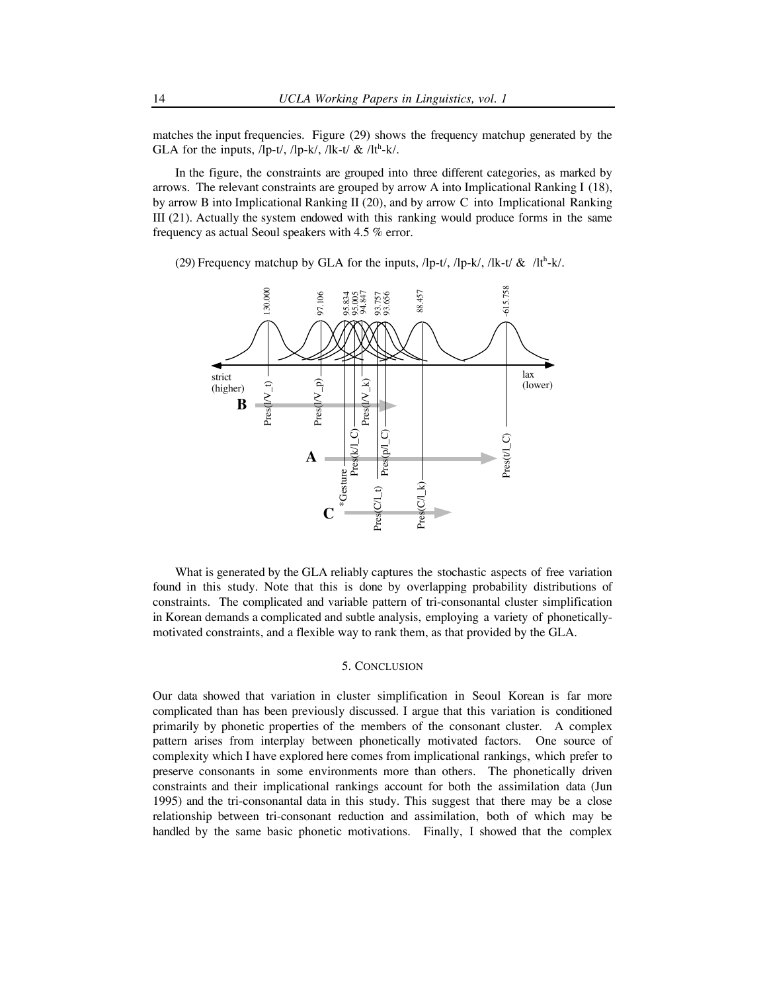matches the input frequencies. Figure (29) shows the frequency matchup generated by the GLA for the inputs,  $\langle$ lp-t $\rangle$ ,  $\langle$ lp-k $\rangle$ ,  $\langle$ lk-t $\rangle$  &  $\langle$ lt<sup>h</sup>-k $\rangle$ .

In the figure, the constraints are grouped into three different categories, as marked by arrows. The relevant constraints are grouped by arrow A into Implicational Ranking I (18), by arrow B into Implicational Ranking II (20), and by arrow C into Implicational Ranking III (21). Actually the system endowed with this ranking would produce forms in the same frequency as actual Seoul speakers with 4.5 % error.

(29) Frequency matchup by GLA for the inputs,  $\ln(-t)$ ,  $\ln(-t)$ ,  $\ln(-t)$  &  $\ln(-t)$ .



 What is generated by the GLA reliably captures the stochastic aspects of free variation found in this study. Note that this is done by overlapping probability distributions of constraints. The complicated and variable pattern of tri-consonantal cluster simplification in Korean demands a complicated and subtle analysis, employing a variety of phoneticallymotivated constraints, and a flexible way to rank them, as that provided by the GLA.

# 5. CONCLUSION

Our data showed that variation in cluster simplification in Seoul Korean is far more complicated than has been previously discussed. I argue that this variation is conditioned primarily by phonetic properties of the members of the consonant cluster. A complex pattern arises from interplay between phonetically motivated factors. One source of complexity which I have explored here comes from implicational rankings, which prefer to preserve consonants in some environments more than others. The phonetically driven constraints and their implicational rankings account for both the assimilation data (Jun 1995) and the tri-consonantal data in this study. This suggest that there may be a close relationship between tri-consonant reduction and assimilation, both of which may be handled by the same basic phonetic motivations. Finally, I showed that the complex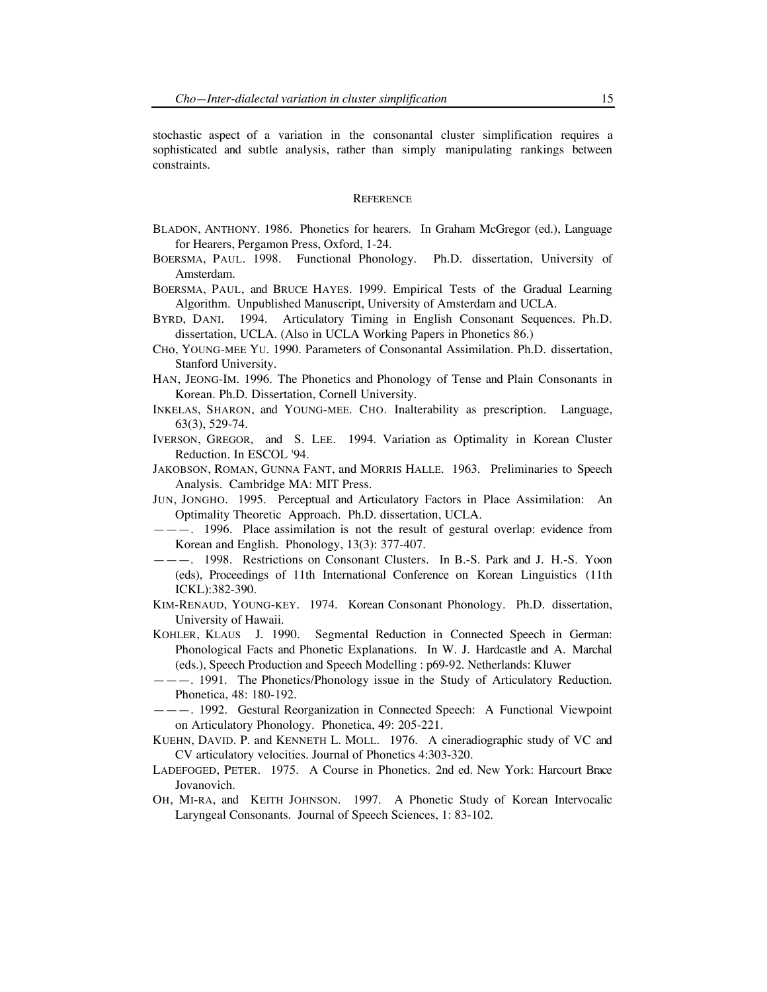stochastic aspect of a variation in the consonantal cluster simplification requires a sophisticated and subtle analysis, rather than simply manipulating rankings between constraints.

# **REFERENCE**

- BLADON, ANTHONY. 1986. Phonetics for hearers. In Graham McGregor (ed.), Language for Hearers, Pergamon Press, Oxford, 1-24.
- BOERSMA, PAUL. 1998. Functional Phonology. Ph.D. dissertation, University of Amsterdam.
- BOERSMA, PAUL, and BRUCE HAYES. 1999. Empirical Tests of the Gradual Learning Algorithm. Unpublished Manuscript, University of Amsterdam and UCLA.
- BYRD, DANI. 1994. Articulatory Timing in English Consonant Sequences. Ph.D. dissertation, UCLA. (Also in UCLA Working Papers in Phonetics 86.)
- CHo, YOUNG-MEE YU. 1990. Parameters of Consonantal Assimilation. Ph.D. dissertation, Stanford University.
- HAN, JEONG-IM. 1996. The Phonetics and Phonology of Tense and Plain Consonants in Korean. Ph.D. Dissertation, Cornell University.
- INKELAS, SHARON, and YOUNG-MEE. CHO. Inalterability as prescription. Language, 63(3), 529-74.
- IVERSON, GREGOR, and S. LEE. 1994. Variation as Optimality in Korean Cluster Reduction. In ESCOL '94.
- JAKOBSON, ROMAN, GUNNA FANT, and MORRIS HALLE. 1963. Preliminaries to Speech Analysis. Cambridge MA: MIT Press.
- JUN, JONGHO. 1995. Perceptual and Articulatory Factors in Place Assimilation: An Optimality Theoretic Approach. Ph.D. dissertation, UCLA.
- ———. 1996. Place assimilation is not the result of gestural overlap: evidence from Korean and English. Phonology, 13(3): 377-407.
- ———. 1998. Restrictions on Consonant Clusters. In B.-S. Park and J. H.-S. Yoon (eds), Proceedings of 11th International Conference on Korean Linguistics (11th ICKL):382-390.
- KIM-RENAUD, YOUNG-KEY. 1974. Korean Consonant Phonology. Ph.D. dissertation, University of Hawaii.
- KOHLER, KLAUS J. 1990. Segmental Reduction in Connected Speech in German: Phonological Facts and Phonetic Explanations. In W. J. Hardcastle and A. Marchal (eds.), Speech Production and Speech Modelling : p69-92. Netherlands: Kluwer
- ———. 1991. The Phonetics/Phonology issue in the Study of Articulatory Reduction. Phonetica, 48: 180-192.
- ———. 1992. Gestural Reorganization in Connected Speech: A Functional Viewpoint on Articulatory Phonology. Phonetica, 49: 205-221.
- KUEHN, DAVID. P. and KENNETH L. MOLL. 1976. A cineradiographic study of VC and CV articulatory velocities. Journal of Phonetics 4:303-320.
- LADEFOGED, PETER. 1975. A Course in Phonetics. 2nd ed. New York: Harcourt Brace Jovanovich.
- OH, MI-RA, and KEITH JOHNSON. 1997. A Phonetic Study of Korean Intervocalic Laryngeal Consonants. Journal of Speech Sciences, 1: 83-102.